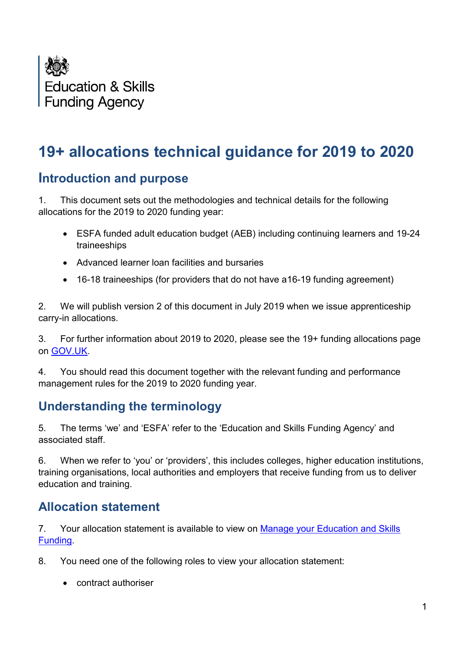

# **19+ allocations technical guidance for 2019 to 2020**

### **Introduction and purpose**

1. This document sets out the methodologies and technical details for the following allocations for the 2019 to 2020 funding year:

- ESFA funded adult education budget (AEB) including continuing learners and 19-24 traineeships
- Advanced learner loan facilities and bursaries
- 16-18 traineeships (for providers that do not have a16-19 funding agreement)

2. We will publish version 2 of this document in July 2019 when we issue apprenticeship carry-in allocations.

3. For further information about 2019 to 2020, please see the 19+ funding allocations page on [GOV.UK.](https://www.gov.uk/guidance/19-funding-allocations?utm_source=a0b7c5ea-d37f-41fc-ac38-d14d741e279f&utm_medium=email&utm_campaign=govuk-notifications&utm_content=immediate&utm_source=eshot&utm_medium=email&utm_campaign=CountdownIssue905#allocations-for-the-2019-to-2020-funding-year)

4. You should read this document together with the relevant funding and performance management rules for the 2019 to 2020 funding year.

# **Understanding the terminology**

5. The terms 'we' and 'ESFA' refer to the 'Education and Skills Funding Agency' and associated staff.

6. When we refer to 'you' or 'providers', this includes colleges, higher education institutions, training organisations, local authorities and employers that receive funding from us to deliver education and training.

### **Allocation statement**

7. Your allocation statement is available to view on Manage your [Education and Skills](https://skillsfunding.service.gov.uk/)  [Funding.](https://skillsfunding.service.gov.uk/)

- 8. You need one of the following roles to view your allocation statement:
	- contract authoriser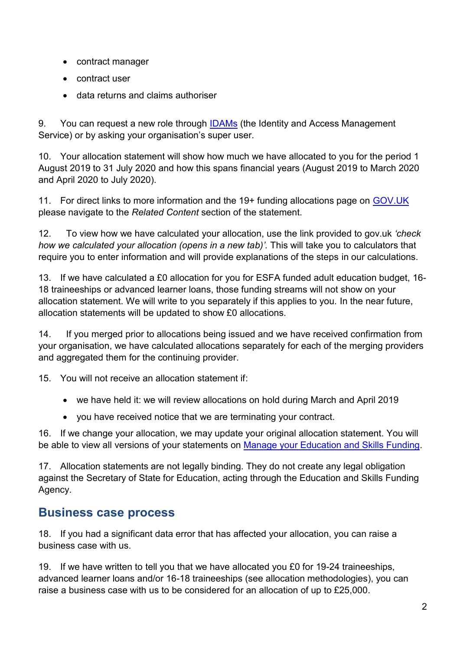- contract manager
- contract user
- data returns and claims authoriser

9. You can request a new role through **IDAMs** (the Identity and Access Management Service) or by asking your organisation's super user.

10. Your allocation statement will show how much we have allocated to you for the period 1 August 2019 to 31 July 2020 and how this spans financial years (August 2019 to March 2020 and April 2020 to July 2020).

11. For direct links to more information and the 19+ funding allocations page on [GOV.UK](https://www.gov.uk/guidance/19-funding-allocations?utm_source=a0b7c5ea-d37f-41fc-ac38-d14d741e279f&utm_medium=email&utm_campaign=govuk-notifications&utm_content=immediate&utm_source=eshot&utm_medium=email&utm_campaign=CountdownIssue905#allocations-for-the-2019-to-2020-funding-year) please navigate to the *Related Content* section of the statement.

12. To view how we have calculated your allocation, use the link provided to gov.uk *'check how we calculated your allocation (opens in a new tab)'.* This will take you to calculators that require you to enter information and will provide explanations of the steps in our calculations.

13. If we have calculated a £0 allocation for you for ESFA funded adult education budget, 16- 18 traineeships or advanced learner loans, those funding streams will not show on your allocation statement. We will write to you separately if this applies to you. In the near future, allocation statements will be updated to show £0 allocations.

14. If you merged prior to allocations being issued and we have received confirmation from your organisation, we have calculated allocations separately for each of the merging providers and aggregated them for the continuing provider.

15. You will not receive an allocation statement if:

- we have held it: we will review allocations on hold during March and April 2019
- you have received notice that we are terminating your contract.

16. If we change your allocation, we may update your original allocation statement. You will be able to view all versions of your statements on Manage your [Education and Skills Funding.](https://skillsfunding.service.gov.uk/)

17. Allocation statements are not legally binding. They do not create any legal obligation against the Secretary of State for Education, acting through the Education and Skills Funding Agency.

# **Business case process**

18. If you had a significant data error that has affected your allocation, you can raise a business case with us.

19. If we have written to tell you that we have allocated you £0 for 19-24 traineeships, advanced learner loans and/or 16-18 traineeships (see allocation methodologies), you can raise a business case with us to be considered for an allocation of up to £25,000.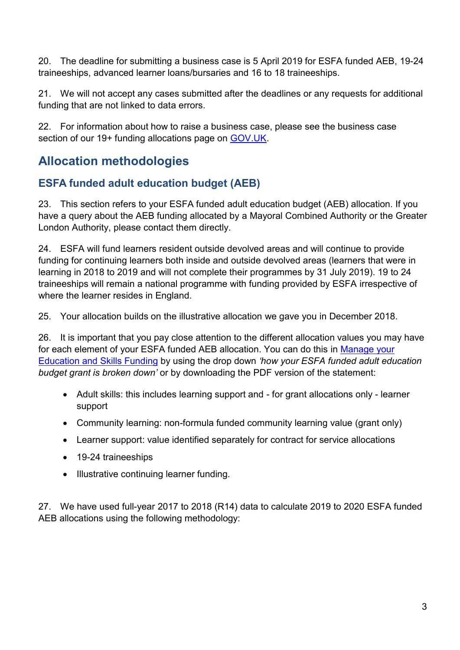20. The deadline for submitting a business case is 5 April 2019 for ESFA funded AEB, 19-24 traineeships, advanced learner loans/bursaries and 16 to 18 traineeships.

21. We will not accept any cases submitted after the deadlines or any requests for additional funding that are not linked to data errors.

22. For information about how to raise a business case, please see the business case section of our 19+ funding allocations page on [GOV.UK.](https://www.gov.uk/guidance/19-funding-allocations?utm_source=a0b7c5ea-d37f-41fc-ac38-d14d741e279f&utm_medium=email&utm_campaign=govuk-notifications&utm_content=immediate&utm_source=eshot&utm_medium=email&utm_campaign=CountdownIssue905#allocations-for-the-2019-to-2020-funding-year)

# **Allocation methodologies**

### **ESFA funded adult education budget (AEB)**

23. This section refers to your ESFA funded adult education budget (AEB) allocation. If you have a query about the AEB funding allocated by a Mayoral Combined Authority or the Greater London Authority, please contact them directly.

24. ESFA will fund learners resident outside devolved areas and will continue to provide funding for continuing learners both inside and outside devolved areas (learners that were in learning in 2018 to 2019 and will not complete their programmes by 31 July 2019). 19 to 24 traineeships will remain a national programme with funding provided by ESFA irrespective of where the learner resides in England.

25. Your allocation builds on the illustrative allocation we gave you in December 2018.

26. It is important that you pay close attention to the different allocation values you may have for each element of your ESFA funded AEB allocation. You can do this in [Manage your](https://skillsfunding.service.gov.uk/)  [Education and Skills Funding](https://skillsfunding.service.gov.uk/) by using the drop down *'how your ESFA funded adult education budget grant is broken down'* or by downloading the PDF version of the statement:

- Adult skills: this includes learning support and for grant allocations only learner support
- Community learning: non-formula funded community learning value (grant only)
- Learner support: value identified separately for contract for service allocations
- 19-24 traineeships
- Illustrative continuing learner funding.

27. We have used full-year 2017 to 2018 (R14) data to calculate 2019 to 2020 ESFA funded AEB allocations using the following methodology: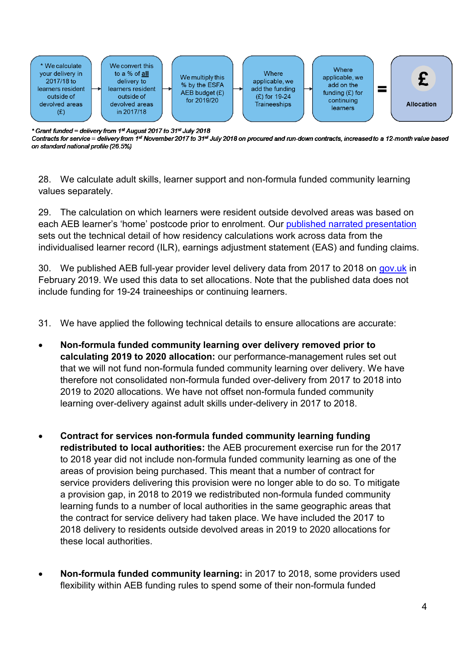

\* Grant funded = delivery from 1st August 2017 to 31st July 2018

Contracts for service = delivery from 1st November 2017 to 31st July 2018 on procured and run-down contracts, increased to a 12-month value based on standard national profile (26.5%)

28. We calculate adult skills, learner support and non-formula funded community learning values separately.

29. The calculation on which learners were resident outside devolved areas was based on each AEB learner's 'home' postcode prior to enrolment. Our [published narrated presentation](https://youtu.be/s8_oELfEJ_0) sets out the technical detail of how residency calculations work across data from the individualised learner record (ILR), earnings adjustment statement (EAS) and funding claims.

30. We published AEB full-year provider level delivery data from 2017 to 2018 on [gov.uk](https://www.gov.uk/government/publications/provider-level-adult-education-budget-aeb-delivery-2017-to-2018) in February 2019. We used this data to set allocations. Note that the published data does not include funding for 19-24 traineeships or continuing learners.

- 31. We have applied the following technical details to ensure allocations are accurate:
- **Non-formula funded community learning over delivery removed prior to calculating 2019 to 2020 allocation:** our performance-management rules set out that we will not fund non-formula funded community learning over delivery. We have therefore not consolidated non-formula funded over-delivery from 2017 to 2018 into 2019 to 2020 allocations. We have not offset non-formula funded community learning over-delivery against adult skills under-delivery in 2017 to 2018.
- **Contract for services non-formula funded community learning funding redistributed to local authorities:** the AEB procurement exercise run for the 2017 to 2018 year did not include non-formula funded community learning as one of the areas of provision being purchased. This meant that a number of contract for service providers delivering this provision were no longer able to do so. To mitigate a provision gap, in 2018 to 2019 we redistributed non-formula funded community learning funds to a number of local authorities in the same geographic areas that the contract for service delivery had taken place. We have included the 2017 to 2018 delivery to residents outside devolved areas in 2019 to 2020 allocations for these local authorities.
- **Non-formula funded community learning:** in 2017 to 2018, some providers used flexibility within AEB funding rules to spend some of their non-formula funded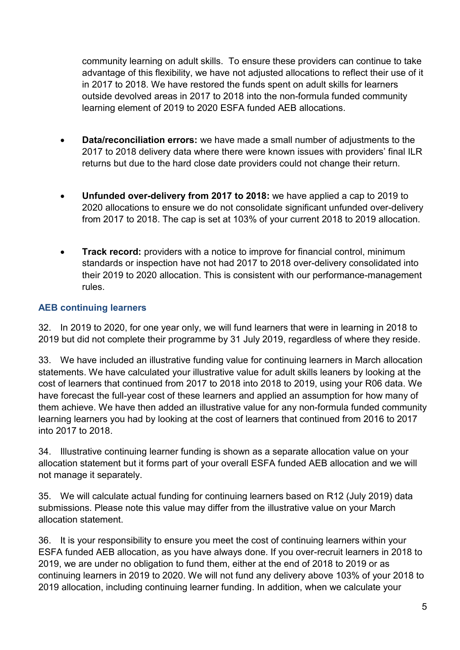community learning on adult skills. To ensure these providers can continue to take advantage of this flexibility, we have not adjusted allocations to reflect their use of it in 2017 to 2018. We have restored the funds spent on adult skills for learners outside devolved areas in 2017 to 2018 into the non-formula funded community learning element of 2019 to 2020 ESFA funded AEB allocations.

- **Data/reconciliation errors:** we have made a small number of adjustments to the 2017 to 2018 delivery data where there were known issues with providers' final ILR returns but due to the hard close date providers could not change their return.
- **Unfunded over-delivery from 2017 to 2018:** we have applied a cap to 2019 to 2020 allocations to ensure we do not consolidate significant unfunded over-delivery from 2017 to 2018. The cap is set at 103% of your current 2018 to 2019 allocation.
- **Track record:** providers with a notice to improve for financial control, minimum standards or inspection have not had 2017 to 2018 over-delivery consolidated into their 2019 to 2020 allocation. This is consistent with our performance-management rules.

### **AEB continuing learners**

32. In 2019 to 2020, for one year only, we will fund learners that were in learning in 2018 to 2019 but did not complete their programme by 31 July 2019, regardless of where they reside.

33. We have included an illustrative funding value for continuing learners in March allocation statements. We have calculated your illustrative value for adult skills leaners by looking at the cost of learners that continued from 2017 to 2018 into 2018 to 2019, using your R06 data. We have forecast the full-year cost of these learners and applied an assumption for how many of them achieve. We have then added an illustrative value for any non-formula funded community learning learners you had by looking at the cost of learners that continued from 2016 to 2017 into 2017 to 2018.

34. Illustrative continuing learner funding is shown as a separate allocation value on your allocation statement but it forms part of your overall ESFA funded AEB allocation and we will not manage it separately.

35. We will calculate actual funding for continuing learners based on R12 (July 2019) data submissions. Please note this value may differ from the illustrative value on your March allocation statement.

36. It is your responsibility to ensure you meet the cost of continuing learners within your ESFA funded AEB allocation, as you have always done. If you over-recruit learners in 2018 to 2019, we are under no obligation to fund them, either at the end of 2018 to 2019 or as continuing learners in 2019 to 2020. We will not fund any delivery above 103% of your 2018 to 2019 allocation, including continuing learner funding. In addition, when we calculate your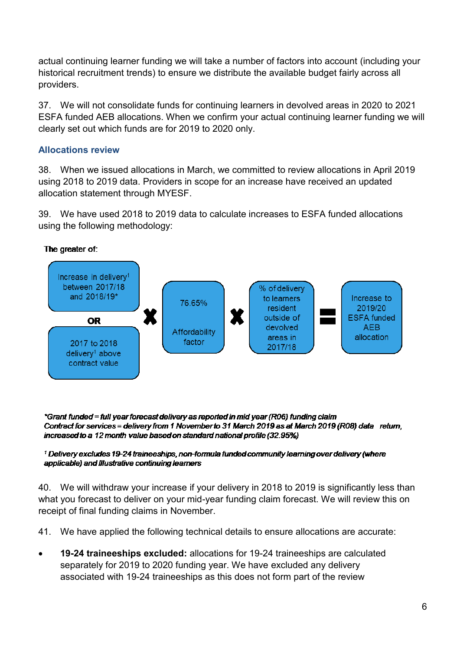actual continuing learner funding we will take a number of factors into account (including your historical recruitment trends) to ensure we distribute the available budget fairly across all providers.

37. We will not consolidate funds for continuing learners in devolved areas in 2020 to 2021 ESFA funded AEB allocations. When we confirm your actual continuing learner funding we will clearly set out which funds are for 2019 to 2020 only.

#### **Allocations review**

38. When we issued allocations in March, we committed to review allocations in April 2019 using 2018 to 2019 data. Providers in scope for an increase have received an updated allocation statement through MYESF.

39. We have used 2018 to 2019 data to calculate increases to ESFA funded allocations using the following methodology:

The greater of:



\*Grant funded = full year forecast delivery as reported in mid year (R06) funding claim Contract for services = delivery from 1 November to 31 March 2019 as at March 2019 (R08) data return, increased to a 12 month value based on standard national profile (32.95%)

#### <sup>1</sup> Delivery excludes 19-24 traineeships, non-formula funded community learning over delivery (where applicable) and Illustrative continuing learners

40. We will withdraw your increase if your delivery in 2018 to 2019 is significantly less than what you forecast to deliver on your mid-year funding claim forecast. We will review this on receipt of final funding claims in November.

41. We have applied the following technical details to ensure allocations are accurate:

 **19-24 traineeships excluded:** allocations for 19-24 traineeships are calculated separately for 2019 to 2020 funding year. We have excluded any delivery associated with 19-24 traineeships as this does not form part of the review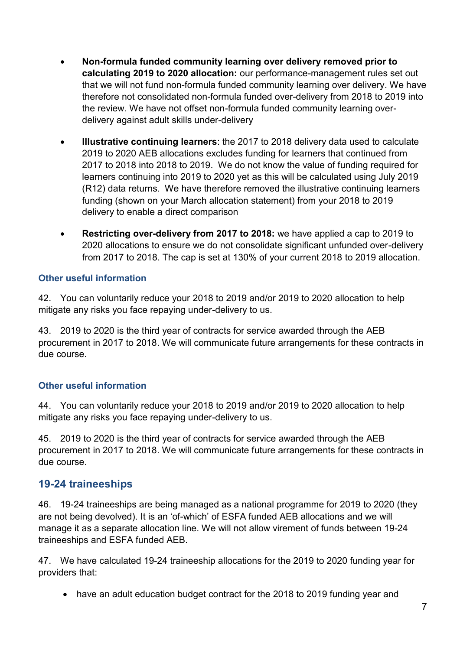- **Non-formula funded community learning over delivery removed prior to calculating 2019 to 2020 allocation:** our performance-management rules set out that we will not fund non-formula funded community learning over delivery. We have therefore not consolidated non-formula funded over-delivery from 2018 to 2019 into the review. We have not offset non-formula funded community learning overdelivery against adult skills under-delivery
- **Illustrative continuing learners**: the 2017 to 2018 delivery data used to calculate 2019 to 2020 AEB allocations excludes funding for learners that continued from 2017 to 2018 into 2018 to 2019. We do not know the value of funding required for learners continuing into 2019 to 2020 yet as this will be calculated using July 2019 (R12) data returns. We have therefore removed the illustrative continuing learners funding (shown on your March allocation statement) from your 2018 to 2019 delivery to enable a direct comparison
- **Restricting over-delivery from 2017 to 2018:** we have applied a cap to 2019 to 2020 allocations to ensure we do not consolidate significant unfunded over-delivery from 2017 to 2018. The cap is set at 130% of your current 2018 to 2019 allocation.

#### **Other useful information**

42. You can voluntarily reduce your 2018 to 2019 and/or 2019 to 2020 allocation to help mitigate any risks you face repaying under-delivery to us.

43. 2019 to 2020 is the third year of contracts for service awarded through the AEB procurement in 2017 to 2018. We will communicate future arrangements for these contracts in due course.

#### **Other useful information**

44. You can voluntarily reduce your 2018 to 2019 and/or 2019 to 2020 allocation to help mitigate any risks you face repaying under-delivery to us.

45. 2019 to 2020 is the third year of contracts for service awarded through the AEB procurement in 2017 to 2018. We will communicate future arrangements for these contracts in due course.

### **19-24 traineeships**

46. 19-24 traineeships are being managed as a national programme for 2019 to 2020 (they are not being devolved). It is an 'of-which' of ESFA funded AEB allocations and we will manage it as a separate allocation line. We will not allow virement of funds between 19-24 traineeships and ESFA funded AEB.

47. We have calculated 19-24 traineeship allocations for the 2019 to 2020 funding year for providers that:

• have an adult education budget contract for the 2018 to 2019 funding year and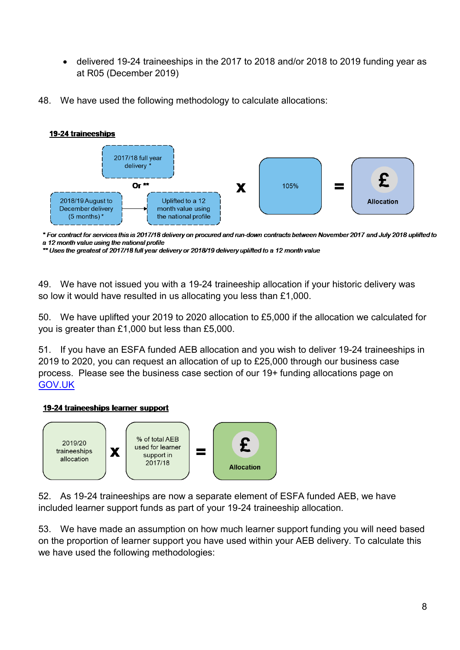- delivered 19-24 traineeships in the 2017 to 2018 and/or 2018 to 2019 funding year as at R05 (December 2019)
- 48. We have used the following methodology to calculate allocations:



\* For contract for services this is 2017/18 delivery on procured and run-down contracts between November 2017 and July 2018 uplifted to a 12 month value using the national profile

\*\* Uses the greatest of 2017/18 full year delivery or 2018/19 delivery uplifted to a 12 month value

49. We have not issued you with a 19-24 traineeship allocation if your historic delivery was so low it would have resulted in us allocating you less than £1,000.

50. We have uplifted your 2019 to 2020 allocation to £5,000 if the allocation we calculated for you is greater than £1,000 but less than £5,000.

51. If you have an ESFA funded AEB allocation and you wish to deliver 19-24 traineeships in 2019 to 2020, you can request an allocation of up to £25,000 through our business case process. Please see the business case section of our 19+ funding allocations page on [GOV.UK](https://www.gov.uk/guidance/19-funding-allocations?utm_source=a0b7c5ea-d37f-41fc-ac38-d14d741e279f&utm_medium=email&utm_campaign=govuk-notifications&utm_content=immediate&utm_source=eshot&utm_medium=email&utm_campaign=CountdownIssue905#allocations-for-the-2019-to-2020-funding-year)

#### 19-24 traineeships learner support



52. As 19-24 traineeships are now a separate element of ESFA funded AEB, we have included learner support funds as part of your 19-24 traineeship allocation.

53. We have made an assumption on how much learner support funding you will need based on the proportion of learner support you have used within your AEB delivery. To calculate this we have used the following methodologies: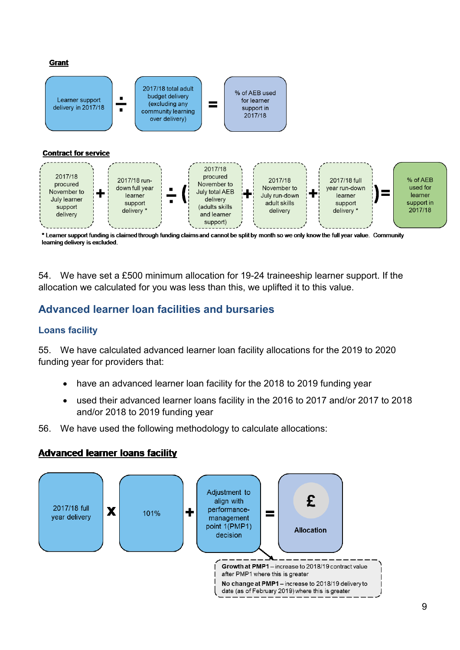#### **Grant**



<sup>\*</sup> Learner support funding is claimed through funding claims and cannot be split by month so we only know the full year value. Community learning delivery is excluded.

54. We have set a £500 minimum allocation for 19-24 traineeship learner support. If the allocation we calculated for you was less than this, we uplifted it to this value.

### **Advanced learner loan facilities and bursaries**

#### **Loans facility**

55. We have calculated advanced learner loan facility allocations for the 2019 to 2020 funding year for providers that:

- have an advanced learner loan facility for the 2018 to 2019 funding year
- used their advanced learner loans facility in the 2016 to 2017 and/or 2017 to 2018 and/or 2018 to 2019 funding year
- 56. We have used the following methodology to calculate allocations:

#### **Advanced learner loans facility**

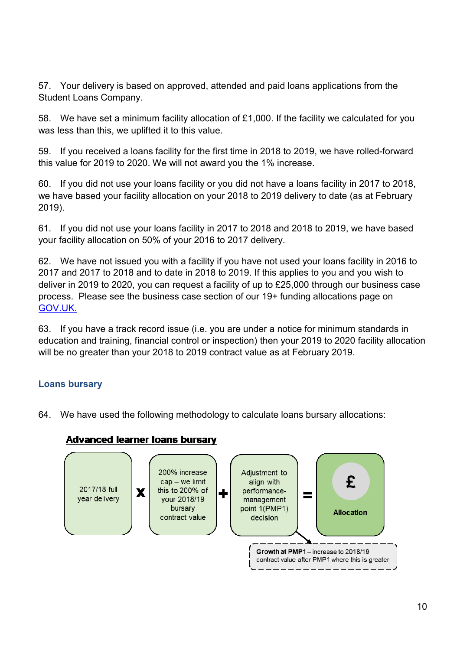57. Your delivery is based on approved, attended and paid loans applications from the Student Loans Company.

58. We have set a minimum facility allocation of £1,000. If the facility we calculated for you was less than this, we uplifted it to this value.

59. If you received a loans facility for the first time in 2018 to 2019, we have rolled-forward this value for 2019 to 2020. We will not award you the 1% increase.

60. If you did not use your loans facility or you did not have a loans facility in 2017 to 2018, we have based your facility allocation on your 2018 to 2019 delivery to date (as at February 2019).

61. If you did not use your loans facility in 2017 to 2018 and 2018 to 2019, we have based your facility allocation on 50% of your 2016 to 2017 delivery.

62. We have not issued you with a facility if you have not used your loans facility in 2016 to 2017 and 2017 to 2018 and to date in 2018 to 2019. If this applies to you and you wish to deliver in 2019 to 2020, you can request a facility of up to £25,000 through our business case process. Please see the business case section of our 19+ funding allocations page on [GOV.UK.](https://www.gov.uk/guidance/19-funding-allocations?utm_source=a0b7c5ea-d37f-41fc-ac38-d14d741e279f&utm_medium=email&utm_campaign=govuk-notifications&utm_content=immediate&utm_source=eshot&utm_medium=email&utm_campaign=CountdownIssue905#allocations-for-the-2019-to-2020-funding-year)

63. If you have a track record issue (i.e. you are under a notice for minimum standards in education and training, financial control or inspection) then your 2019 to 2020 facility allocation will be no greater than your 2018 to 2019 contract value as at February 2019.

#### **Loans bursary**

64. We have used the following methodology to calculate loans bursary allocations:

#### **Advanced learner loans bursary**

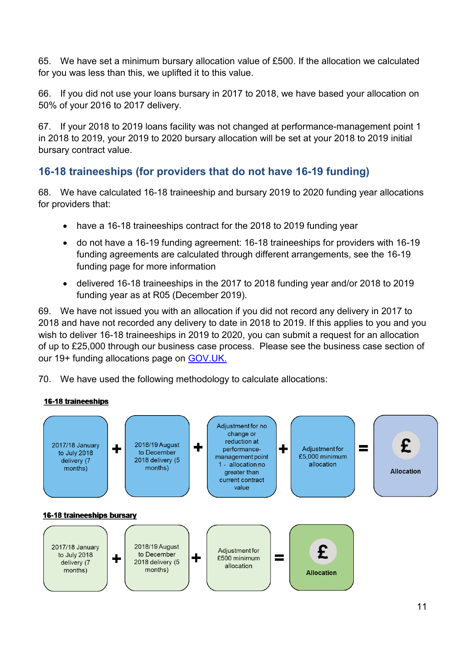65. We have set a minimum bursary allocation value of £500. If the allocation we calculated for you was less than this, we uplifted it to this value.

66. If you did not use your loans bursary in 2017 to 2018, we have based your allocation on 50% of your 2016 to 2017 delivery.

67. If your 2018 to 2019 loans facility was not changed at performance-management point 1 in 2018 to 2019, your 2019 to 2020 bursary allocation will be set at your 2018 to 2019 initial bursary contract value.

### **16-18 traineeships (for providers that do not have 16-19 funding)**

68. We have calculated 16-18 traineeship and bursary 2019 to 2020 funding year allocations for providers that:

- have a 16-18 traineeships contract for the 2018 to 2019 funding year
- do not have a 16-19 funding agreement: 16-18 traineeships for providers with 16-19 funding agreements are calculated through different arrangements, see the [16-19](https://www.gov.uk/government/collections/funding-education-for-16-to-19-year-olds)  [funding page](https://www.gov.uk/government/collections/funding-education-for-16-to-19-year-olds) for more information
- delivered 16-18 traineeships in the 2017 to 2018 funding year and/or 2018 to 2019 funding year as at R05 (December 2019).

69. We have not issued you with an allocation if you did not record any delivery in 2017 to 2018 and have not recorded any delivery to date in 2018 to 2019. If this applies to you and you wish to deliver 16-18 traineeships in 2019 to 2020, you can submit a request for an allocation of up to £25,000 through our business case process. Please see the business case section of our 19+ funding allocations page on [GOV.UK.](https://www.gov.uk/guidance/19-funding-allocations?utm_source=a0b7c5ea-d37f-41fc-ac38-d14d741e279f&utm_medium=email&utm_campaign=govuk-notifications&utm_content=immediate&utm_source=eshot&utm_medium=email&utm_campaign=CountdownIssue905#allocations-for-the-2019-to-2020-funding-year)

70. We have used the following methodology to calculate allocations: